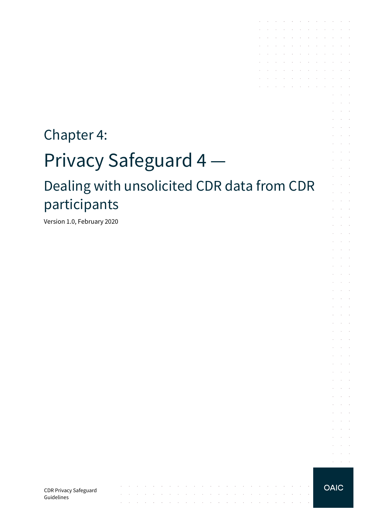# Chapter 4: Privacy Safeguard 4 — Dealing with unsolicited CDR data from CDR participants

المتابعات والمتابعات والمعارف المتابعات والمعارف المتابعات والمعارفات

الموارد والمتواطن والمتواطن والمتواطن والموارد والمتواطن والمتواطن والمتواطن والمتواطن

and the state of the state of the state of the state of the

 $\sim$   $\sim$ 

 $\sim$ 

Version 1.0, February 2020

CDR Privacy Safeguard Guidelines

**OAIC** 

**Service**  $\alpha = \alpha + \beta$ 

the contract of the contract of the contract of

 $\sim 10$ 

and a state

 $\alpha$  and  $\alpha$  $\alpha$  and  $\alpha$ 

 $\sim$   $\sim$ 

 $\sim 10^{-11}$  .  $\mathcal{L} \subset \mathcal{L}$  $\mathcal{L}^{\text{max}}$  and  $\mathcal{L}^{\text{max}}$  $\mathcal{L}^{\text{max}}$  and  $\mathcal{L}^{\text{max}}$  $\sim$  $\mathcal{L}^{\text{max}}$  and  $\mathcal{L}^{\text{max}}$ and the con-÷.  $\alpha$  ,  $\beta$  ,  $\alpha$  $\mathcal{L}^{\text{max}}(\mathcal{L}^{\text{max}})$ S. **College** and the control

and the control and a state

and a state  $\mathcal{L}^{\text{max}}(\mathcal{L}^{\text{max}})$  .

 $\mathcal{L}^{\text{max}}$  and  $\mathcal{L}^{\text{max}}$ and the control

 $\mathcal{L}^{\text{max}}$  and  $\mathcal{L}^{\text{max}}$ and a state

and the con-**Service** State

 $\sim$  $\sim 10^{-1}$  .

the contract of the contract of the contract of

the control of the control of the con-

the contract of the contract of the contract of and a series of the contract of the

 $\mathcal{L}^{\mathcal{A}}$  . The contribution of the contribution of the contribution of and a straightful and a straight

 $\mathcal{L}^{\mathcal{A}}$  . The set of the set of the set of the set of the set of  $\mathcal{L}^{\mathcal{A}}$ the control of the control of

 $\sim$ 

 $\mathcal{L}^{\mathcal{L}}$ 

 $\mathcal{L}$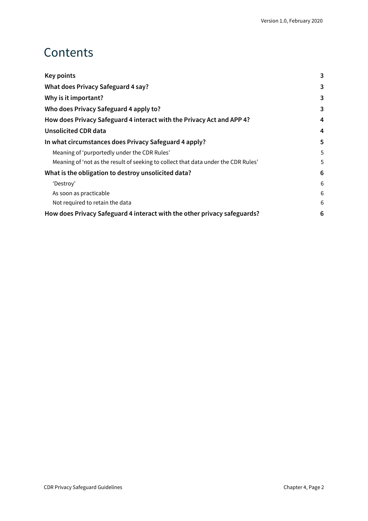### **Contents**

| Key points                                                                         | 3              |
|------------------------------------------------------------------------------------|----------------|
| What does Privacy Safeguard 4 say?                                                 | 3              |
| Why is it important?                                                               | 3              |
| Who does Privacy Safeguard 4 apply to?                                             | 3              |
| How does Privacy Safeguard 4 interact with the Privacy Act and APP 4?              | 4              |
| <b>Unsolicited CDR data</b>                                                        | $\overline{4}$ |
| In what circumstances does Privacy Safeguard 4 apply?                              | 5              |
| Meaning of 'purportedly under the CDR Rules'                                       | 5              |
| Meaning of 'not as the result of seeking to collect that data under the CDR Rules' | 5              |
| What is the obligation to destroy unsolicited data?                                | 6              |
| 'Destroy'                                                                          | 6              |
| As soon as practicable                                                             | 6              |
| Not required to retain the data                                                    | 6              |
| How does Privacy Safeguard 4 interact with the other privacy safeguards?           | 6              |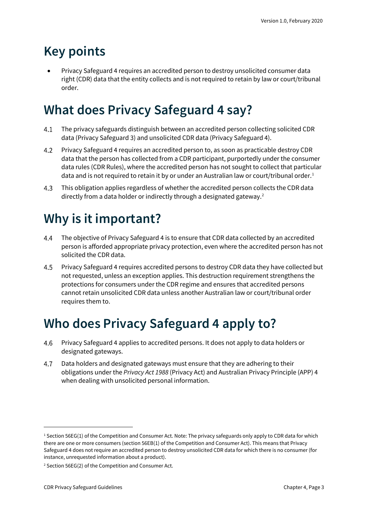### <span id="page-2-0"></span>**Key points**

• Privacy Safeguard 4 requires an accredited person to destroy unsolicited consumer data right (CDR) data that the entity collects and is not required to retain by law or court/tribunal order.

### <span id="page-2-1"></span>**What does Privacy Safeguard 4 say?**

- $4.1$ The privacy safeguards distinguish between an accredited person collecting solicited CDR data (Privacy Safeguard 3) and unsolicited CDR data (Privacy Safeguard 4).
- $4.2$ Privacy Safeguard 4 requires an accredited person to, as soon as practicable destroy CDR data that the person has collected from a CDR participant, purportedly under the consumer data rules (CDR Rules), where the accredited person has not sought to collect that particular data and is not required to retain it by or under an Australian law or court/tribunal order.<sup>[1](#page-2-4)</sup>
- $4.3$ This obligation applies regardless of whether the accredited person collects the CDR data directly from a data holder or indirectly through a designated gateway.<sup>[2](#page-2-5)</sup>

## <span id="page-2-2"></span>**Why is it important?**

- 4.4 The objective of Privacy Safeguard 4 is to ensure that CDR data collected by an accredited person is afforded appropriate privacy protection, even where the accredited person has not solicited the CDR data.
- 4.5 Privacy Safeguard 4 requires accredited persons to destroy CDR data they have collected but not requested, unless an exception applies. This destruction requirement strengthens the protections for consumers under the CDR regime and ensures that accredited persons cannot retain unsolicited CDR data unless another Australian law or court/tribunal order requires them to.

### <span id="page-2-3"></span>**Who does Privacy Safeguard 4 apply to?**

- 4.6 Privacy Safeguard 4 applies to accredited persons. It does not apply to data holders or designated gateways.
- 4.7 Data holders and designated gateways must ensure that they are adhering to their obligations under the *Privacy Act 1988* (Privacy Act) and Australian Privacy Principle (APP) 4 when dealing with unsolicited personal information.

<span id="page-2-4"></span> $1$  Section 56EG(1) of the Competition and Consumer Act. Note: The privacy safeguards only apply to CDR data for which there are one or more consumers (section 56EB(1) of the Competition and Consumer Act). This means that Privacy Safeguard 4 does not require an accredited person to destroy unsolicited CDR data for which there is no consumer (for instance, unrequested information about a product).

<span id="page-2-5"></span><sup>2</sup> Section 56EG(2) of the Competition and Consumer Act.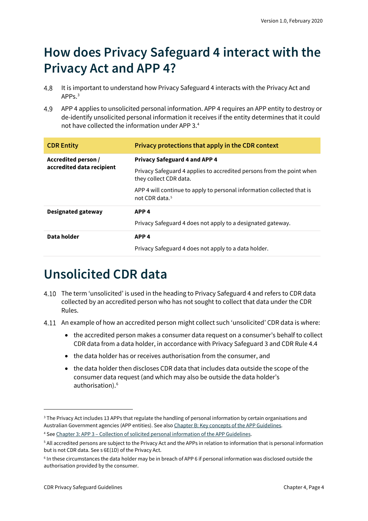### <span id="page-3-0"></span>**How does Privacy Safeguard 4 interact with the Privacy Act and APP 4?**

- 4.8 It is important to understand how Privacy Safeguard 4 interacts with the Privacy Act and APPs.[3](#page-3-2)
- 4.9 APP 4 applies to unsolicited personal information. APP 4 requires an APP entity to destroy or de-identify unsolicited personal information it receives if the entity determines that it could not have collected the information under APP 3.[4](#page-3-3)

| <b>CDR Entity</b>                                | Privacy protections that apply in the CDR context                                                    |
|--------------------------------------------------|------------------------------------------------------------------------------------------------------|
| Accredited person /<br>accredited data recipient | <b>Privacy Safeguard 4 and APP 4</b>                                                                 |
|                                                  | Privacy Safeguard 4 applies to accredited persons from the point when<br>they collect CDR data.      |
|                                                  | APP 4 will continue to apply to personal information collected that is<br>not CDR data. <sup>5</sup> |
| <b>Designated gateway</b>                        | APP <sub>4</sub>                                                                                     |
|                                                  | Privacy Safeguard 4 does not apply to a designated gateway.                                          |
| Data holder                                      | APP <sub>4</sub>                                                                                     |
|                                                  | Privacy Safeguard 4 does not apply to a data holder.                                                 |

### <span id="page-3-1"></span>**Unsolicited CDR data**

- The term 'unsolicited' is used in the heading to Privacy Safeguard 4 and refers to CDR data collected by an accredited person who has not sought to collect that data under the CDR Rules.
- 4.11 An example of how an accredited person might collect such 'unsolicited' CDR data is where:
	- the accredited person makes a consumer data request on a consumer's behalf to collect CDR data from a data holder, in accordance with Privacy Safeguard 3 and CDR Rule 4.4
	- the data holder has or receives authorisation from the consumer, and
	- the data holder then discloses CDR data that includes data outside the scope of the consumer data request (and which may also be outside the data holder's authorisation).<sup>[6](#page-3-5)</sup>

<span id="page-3-2"></span><sup>3</sup> The Privacy Act includes 13 APPs that regulate the handling of personal information by certain organisations and Australian Government agencies (APP entities). See als[o Chapter B: Key concepts of the APP Guidelines.](https://www.oaic.gov.au/privacy/australian-privacy-principles-guidelines/chapter-b-key-concepts/)

<span id="page-3-3"></span><sup>4</sup> See Chapter 3: APP 3 – [Collection of solicited personal information](https://www.oaic.gov.au/privacy/australian-privacy-principles-guidelines/chapter-3-app-3-collection-of-solicited-personal-information/) of the APP Guidelines.

<span id="page-3-4"></span><sup>5</sup> All accredited persons are subject to the Privacy Act and the APPs in relation to information that is personal information but is not CDR data. See s 6E(1D) of the Privacy Act.

<span id="page-3-5"></span><sup>6</sup> In these circumstances the data holder may be in breach of APP 6 if personal information was disclosed outside the authorisation provided by the consumer.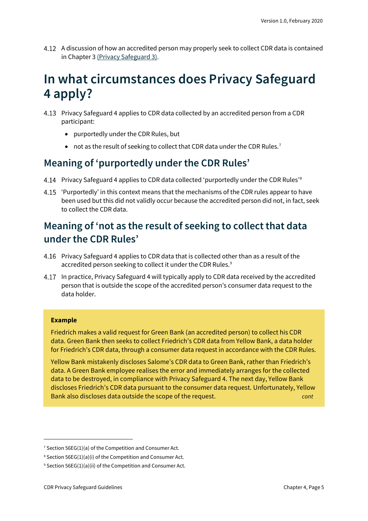A discussion of how an accredited person may properly seek to collect CDR data is contained in Chapter 3 [\(Privacy Safeguard 3\).](https://www.oaic.gov.au/consumer-data-right/cdr-privacy-safeguard-guidelines/chapter-3-privacy-safeguard-3-seeking-to-collect-cdr-data-from-cdr-participants)

### <span id="page-4-0"></span>**In what circumstances does Privacy Safeguard 4 apply?**

- Privacy Safeguard 4 applies to CDR data collected by an accredited person from a CDR participant:
	- purportedly under the CDR Rules, but
	- not as the result of seeking to collect that CDR data under the CDR Rules.<sup>[7](#page-4-3)</sup>

#### <span id="page-4-1"></span>**Meaning of 'purportedly under the CDR Rules'**

- Privacy Safeguard 4 applies to CDR data collected 'purportedly under the CDR Rules'<sup>[8](#page-4-4)</sup>
- 4.15 'Purportedly' in this context means that the mechanisms of the CDR rules appear to have been used but this did not validly occur because the accredited person did not, in fact, seek to collect the CDR data.

### <span id="page-4-2"></span>**Meaning of 'not as the result of seeking to collect that data under the CDR Rules'**

- Privacy Safeguard 4 applies to CDR data that is collected other than as a result of the accredited person seeking to collect it under the CDR Rules.<sup>[9](#page-4-5)</sup>
- In practice, Privacy Safeguard 4 will typically apply to CDR data received by the accredited person that is outside the scope of the accredited person's consumer data request to the data holder.

#### **Example**

Friedrich makes a valid request for Green Bank (an accredited person) to collect his CDR data. Green Bank then seeks to collect Friedrich's CDR data from Yellow Bank, a data holder for Friedrich's CDR data, through a consumer data request in accordance with the CDR Rules.

Yellow Bank mistakenly discloses Salome's CDR data to Green Bank, rather than Friedrich's data. A Green Bank employee realises the error and immediately arranges for the collected data to be destroyed, in compliance with Privacy Safeguard 4. The next day, Yellow Bank discloses Friedrich's CDR data pursuant to the consumer data request. Unfortunately, Yellow Bank also discloses data outside the scope of the request. *cont*

<span id="page-4-3"></span><sup>&</sup>lt;sup>7</sup> Section 56EG(1)(a) of the Competition and Consumer Act.

<span id="page-4-4"></span><sup>8</sup> Section 56EG(1)(a)(i) of the Competition and Consumer Act.

<span id="page-4-5"></span> $9$  Section 56EG(1)(a)(ii) of the Competition and Consumer Act.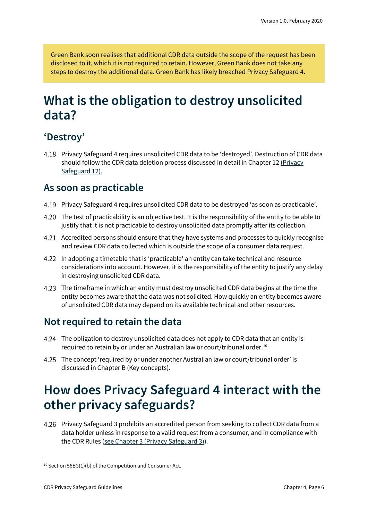Green Bank soon realises that additional CDR data outside the scope of the request has been disclosed to it, which it is not required to retain. However, Green Bank does not take any steps to destroy the additional data. Green Bank has likely breached Privacy Safeguard 4.

### <span id="page-5-0"></span>**What is the obligation to destroy unsolicited data?**

#### <span id="page-5-1"></span>**'Destroy'**

Privacy Safeguard 4 requires unsolicited CDR data to be 'destroyed'. Destruction of CDR data should follow the CDR data deletion process discussed in detail in Chapter 12 [\(Privacy](https://www.oaic.gov.au/consumer-data-right/cdr-privacy-safeguard-guidelines/chapter-12-privacy-safeguard-12-security-of-cdr-data-and-destruction-of-de-identification-of-redundant-cdr-data)  [Safeguard 12\).](https://www.oaic.gov.au/consumer-data-right/cdr-privacy-safeguard-guidelines/chapter-12-privacy-safeguard-12-security-of-cdr-data-and-destruction-of-de-identification-of-redundant-cdr-data)

#### <span id="page-5-2"></span>**As soon as practicable**

- Privacy Safeguard 4 requires unsolicited CDR data to be destroyed 'as soon as practicable'.
- The test of practicability is an objective test. It is the responsibility of the entity to be able to justify that it is not practicable to destroy unsolicited data promptly after its collection.
- Accredited persons should ensure that they have systems and processes to quickly recognise and review CDR data collected which is outside the scope of a consumer data request.
- In adopting a timetable that is 'practicable' an entity can take technical and resource considerations into account. However, it is the responsibility of the entity to justify any delay in destroying unsolicited CDR data.
- The timeframe in which an entity must destroy unsolicited CDR data begins at the time the entity becomes aware that the data was not solicited. How quickly an entity becomes aware of unsolicited CDR data may depend on its available technical and other resources.

#### <span id="page-5-3"></span>**Not required to retain the data**

- The obligation to destroy unsolicited data does not apply to CDR data that an entity is required to retain by or under an Australian law or court/tribunal order.<sup>[10](#page-5-5)</sup>
- The concept 'required by or under another Australian law or court/tribunal order' is discussed in Chapter B (Key concepts).

### <span id="page-5-4"></span>**How does Privacy Safeguard 4 interact with the other privacy safeguards?**

Privacy Safeguard 3 prohibits an accredited person from seeking to collect CDR data from a data holder unless in response to a valid request from a consumer, and in compliance with the CDR Rules (see Chapter 3 [\(Privacy Safeguard 3\)\)](https://www.oaic.gov.au/consumer-data-right/cdr-privacy-safeguard-guidelines/chapter-3-privacy-safeguard-3-seeking-to-collect-cdr-data-from-cdr-participants).

<span id="page-5-5"></span> $10$  Section 56EG(1)(b) of the Competition and Consumer Act.